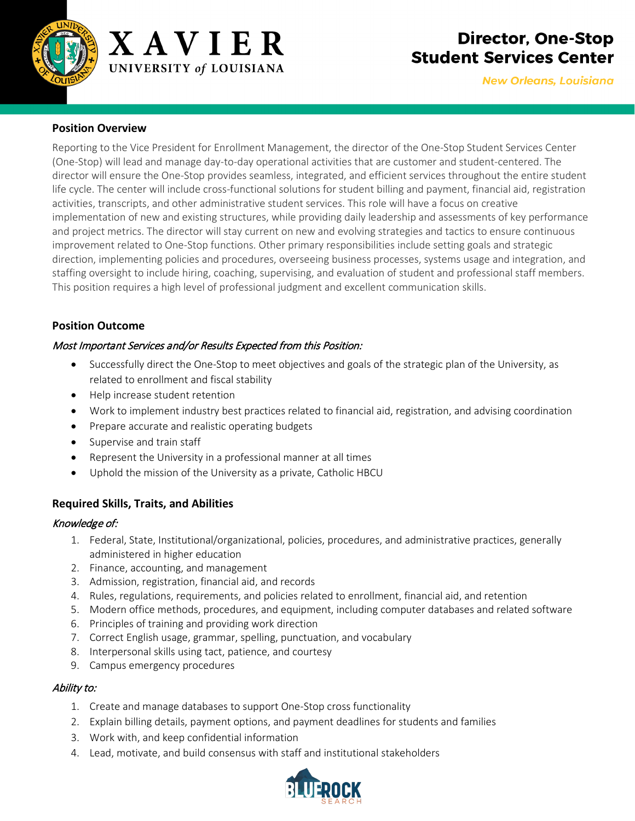

# **Director, One-Stop Student Services Center**

**New Orleans, Louisiana** 

### **Position Overview**

Reporting to the Vice President for Enrollment Management, the director of the One-Stop Student Services Center (One-Stop) will lead and manage day-to-day operational activities that are customer and student-centered. The director will ensure the One-Stop provides seamless, integrated, and efficient services throughout the entire student life cycle. The center will include cross-functional solutions for student billing and payment, financial aid, registration activities, transcripts, and other administrative student services. This role will have a focus on creative implementation of new and existing structures, while providing daily leadership and assessments of key performance and project metrics. The director will stay current on new and evolving strategies and tactics to ensure continuous improvement related to One-Stop functions. Other primary responsibilities include setting goals and strategic direction, implementing policies and procedures, overseeing business processes, systems usage and integration, and staffing oversight to include hiring, coaching, supervising, and evaluation of student and professional staff members. This position requires a high level of professional judgment and excellent communication skills.

### **Position Outcome**

#### Most Important Services and/or Results Expected from this Position:

- Successfully direct the One-Stop to meet objectives and goals of the strategic plan of the University, as related to enrollment and fiscal stability
- Help increase student retention
- Work to implement industry best practices related to financial aid, registration, and advising coordination
- Prepare accurate and realistic operating budgets
- Supervise and train staff
- Represent the University in a professional manner at all times
- Uphold the mission of the University as a private, Catholic HBCU

## **Required Skills, Traits, and Abilities**

#### Knowledge of:

- 1. Federal, State, Institutional/organizational, policies, procedures, and administrative practices, generally administered in higher education
- 2. Finance, accounting, and management
- 3. Admission, registration, financial aid, and records
- 4. Rules, regulations, requirements, and policies related to enrollment, financial aid, and retention
- 5. Modern office methods, procedures, and equipment, including computer databases and related software
- 6. Principles of training and providing work direction
- 7. Correct English usage, grammar, spelling, punctuation, and vocabulary
- 8. Interpersonal skills using tact, patience, and courtesy
- 9. Campus emergency procedures

#### Ability to:

- 1. Create and manage databases to support One-Stop cross functionality
- 2. Explain billing details, payment options, and payment deadlines for students and families
- 3. Work with, and keep confidential information
- 4. Lead, motivate, and build consensus with staff and institutional stakeholders

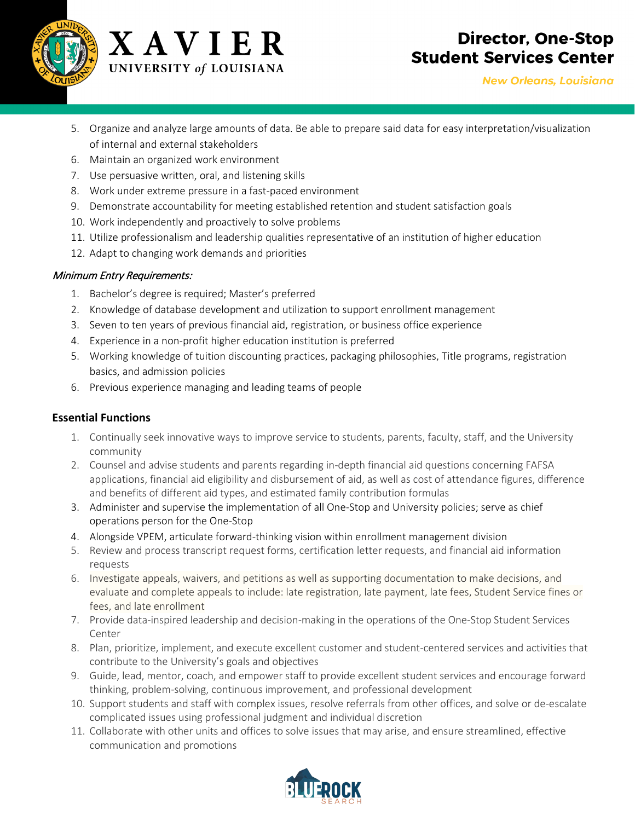



# **Director, One-Stop Student Services Center**

- 5. Organize and analyze large amounts of data. Be able to prepare said data for easy interpretation/visualization of internal and external stakeholders
- 6. Maintain an organized work environment
- 7. Use persuasive written, oral, and listening skills
- 8. Work under extreme pressure in a fast-paced environment
- 9. Demonstrate accountability for meeting established retention and student satisfaction goals
- 10. Work independently and proactively to solve problems
- 11. Utilize professionalism and leadership qualities representative of an institution of higher education
- 12. Adapt to changing work demands and priorities

#### Minimum Entry Requirements:

- 1. Bachelor's degree is required; Master's preferred
- 2. Knowledge of database development and utilization to support enrollment management
- 3. Seven to ten years of previous financial aid, registration, or business office experience
- 4. Experience in a non-profit higher education institution is preferred
- 5. Working knowledge of tuition discounting practices, packaging philosophies, Title programs, registration basics, and admission policies
- 6. Previous experience managing and leading teams of people

## **Essential Functions**

- 1. Continually seek innovative ways to improve service to students, parents, faculty, staff, and the University community
- 2. Counsel and advise students and parents regarding in-depth financial aid questions concerning FAFSA applications, financial aid eligibility and disbursement of aid, as well as cost of attendance figures, difference and benefits of different aid types, and estimated family contribution formulas
- 3. Administer and supervise the implementation of all One-Stop and University policies; serve as chief operations person for the One-Stop
- 4. Alongside VPEM, articulate forward-thinking vision within enrollment management division
- 5. Review and process transcript request forms, certification letter requests, and financial aid information requests
- 6. Investigate appeals, waivers, and petitions as well as supporting documentation to make decisions, and evaluate and complete appeals to include: late registration, late payment, late fees, Student Service fines or fees, and late enrollment
- 7. Provide data-inspired leadership and decision-making in the operations of the One-Stop Student Services Center
- 8. Plan, prioritize, implement, and execute excellent customer and student-centered services and activities that contribute to the University's goals and objectives
- 9. Guide, lead, mentor, coach, and empower staff to provide excellent student services and encourage forward thinking, problem-solving, continuous improvement, and professional development
- 10. Support students and staff with complex issues, resolve referrals from other offices, and solve or de-escalate complicated issues using professional judgment and individual discretion
- 11. Collaborate with other units and offices to solve issues that may arise, and ensure streamlined, effective communication and promotions

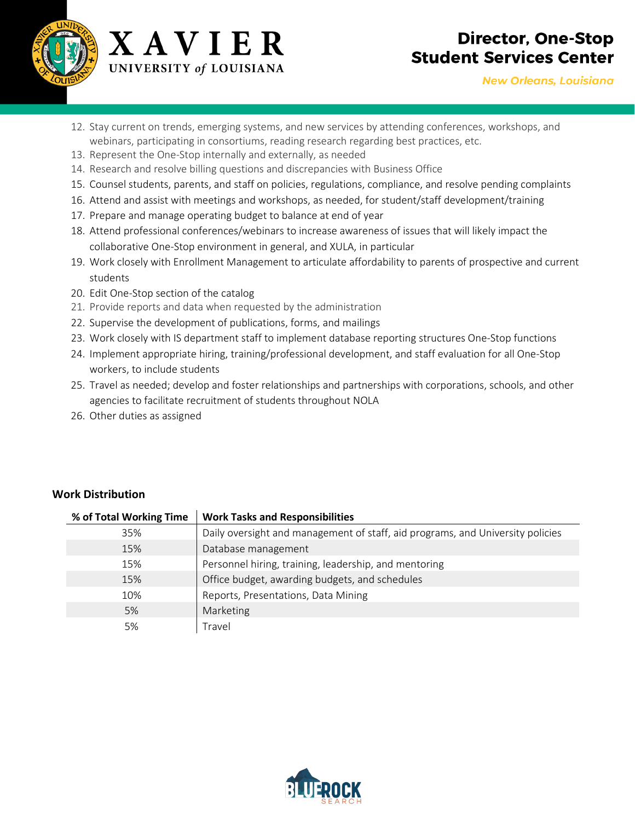



- 12. Stay current on trends, emerging systems, and new services by attending conferences, workshops, and webinars, participating in consortiums, reading research regarding best practices, etc.
- 13. Represent the One-Stop internally and externally, as needed
- 14. Research and resolve billing questions and discrepancies with Business Office
- 15. Counsel students, parents, and staff on policies, regulations, compliance, and resolve pending complaints
- 16. Attend and assist with meetings and workshops, as needed, for student/staff development/training
- 17. Prepare and manage operating budget to balance at end of year
- 18. Attend professional conferences/webinars to increase awareness of issues that will likely impact the collaborative One-Stop environment in general, and XULA, in particular
- 19. Work closely with Enrollment Management to articulate affordability to parents of prospective and current students
- 20. Edit One-Stop section of the catalog
- 21. Provide reports and data when requested by the administration
- 22. Supervise the development of publications, forms, and mailings
- 23. Work closely with IS department staff to implement database reporting structures One-Stop functions
- 24. Implement appropriate hiring, training/professional development, and staff evaluation for all One-Stop workers, to include students
- 25. Travel as needed; develop and foster relationships and partnerships with corporations, schools, and other agencies to facilitate recruitment of students throughout NOLA
- 26. Other duties as assigned

| <b>Work Distribution</b> |  |
|--------------------------|--|
|--------------------------|--|

| % of Total Working Time | <b>Work Tasks and Responsibilities</b>                                         |
|-------------------------|--------------------------------------------------------------------------------|
| 35%                     | Daily oversight and management of staff, aid programs, and University policies |
| 15%                     | Database management                                                            |
| 15%                     | Personnel hiring, training, leadership, and mentoring                          |
| 15%                     | Office budget, awarding budgets, and schedules                                 |
| 10%                     | Reports, Presentations, Data Mining                                            |
| 5%                      | Marketing                                                                      |
| 5%                      | Travel                                                                         |